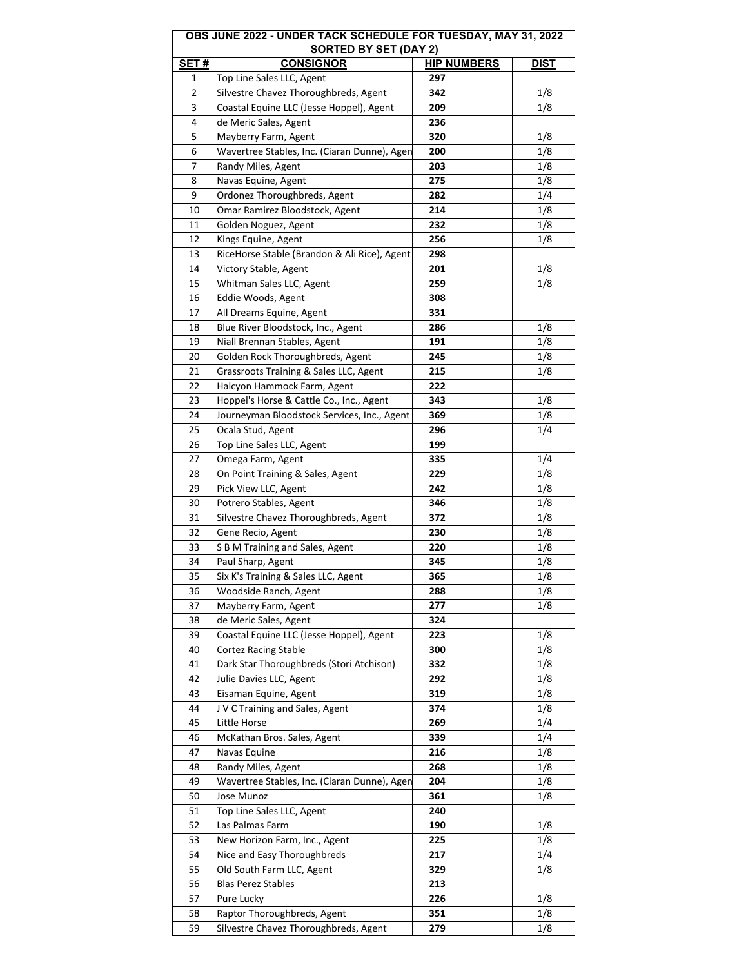| OBS JUNE 2022 - UNDER TACK SCHEDULE FOR TUESDAY, MAY 31, 2022<br><b>SORTED BY SET (DAY 2)</b> |                                              |                    |             |  |  |
|-----------------------------------------------------------------------------------------------|----------------------------------------------|--------------------|-------------|--|--|
| <b>SET#</b>                                                                                   | <b>CONSIGNOR</b>                             | <b>HIP NUMBERS</b> | <b>DIST</b> |  |  |
| 1                                                                                             | Top Line Sales LLC, Agent                    | 297                |             |  |  |
| 2                                                                                             | Silvestre Chavez Thoroughbreds, Agent        | 342                | 1/8         |  |  |
| 3                                                                                             | Coastal Equine LLC (Jesse Hoppel), Agent     | 209                | 1/8         |  |  |
| 4                                                                                             | de Meric Sales, Agent                        | 236                |             |  |  |
| 5                                                                                             | Mayberry Farm, Agent                         | 320                | 1/8         |  |  |
| 6                                                                                             | Wavertree Stables, Inc. (Ciaran Dunne), Agen | 200                | 1/8         |  |  |
| 7                                                                                             | Randy Miles, Agent                           | 203                | 1/8         |  |  |
| 8                                                                                             | Navas Equine, Agent                          | 275                | 1/8         |  |  |
| 9                                                                                             | Ordonez Thoroughbreds, Agent                 | 282                | 1/4         |  |  |
| 10                                                                                            | Omar Ramirez Bloodstock, Agent               | 214                | 1/8         |  |  |
| 11                                                                                            | Golden Noguez, Agent                         | 232                | 1/8         |  |  |
| 12                                                                                            | Kings Equine, Agent                          | 256                | 1/8         |  |  |
| 13                                                                                            | RiceHorse Stable (Brandon & Ali Rice), Agent | 298                |             |  |  |
| 14                                                                                            | Victory Stable, Agent                        | 201                | 1/8         |  |  |
|                                                                                               |                                              |                    |             |  |  |
| 15                                                                                            | Whitman Sales LLC, Agent                     | 259                | 1/8         |  |  |
| 16                                                                                            | Eddie Woods, Agent                           | 308                |             |  |  |
| 17                                                                                            | All Dreams Equine, Agent                     | 331                |             |  |  |
| 18                                                                                            | Blue River Bloodstock, Inc., Agent           | 286                | 1/8         |  |  |
| 19                                                                                            | Niall Brennan Stables, Agent                 | 191                | 1/8         |  |  |
| 20                                                                                            | Golden Rock Thoroughbreds, Agent             | 245                | 1/8         |  |  |
| 21                                                                                            | Grassroots Training & Sales LLC, Agent       | 215                | 1/8         |  |  |
| 22                                                                                            | Halcyon Hammock Farm, Agent                  | 222                |             |  |  |
| 23                                                                                            | Hoppel's Horse & Cattle Co., Inc., Agent     | 343                | 1/8         |  |  |
| 24                                                                                            | Journeyman Bloodstock Services, Inc., Agent  | 369                | 1/8         |  |  |
| 25                                                                                            | Ocala Stud, Agent                            | 296                | 1/4         |  |  |
| 26                                                                                            | Top Line Sales LLC, Agent                    | 199                |             |  |  |
| 27                                                                                            | Omega Farm, Agent                            | 335                | 1/4         |  |  |
| 28                                                                                            | On Point Training & Sales, Agent             | 229                | 1/8         |  |  |
| 29                                                                                            | Pick View LLC, Agent                         | 242                | 1/8         |  |  |
| 30                                                                                            | Potrero Stables, Agent                       | 346                | 1/8         |  |  |
| 31                                                                                            | Silvestre Chavez Thoroughbreds, Agent        | 372                | 1/8         |  |  |
| 32                                                                                            | Gene Recio, Agent                            | 230                | 1/8         |  |  |
| 33                                                                                            | S B M Training and Sales, Agent              | 220                | 1/8         |  |  |
| 34                                                                                            | Paul Sharp, Agent                            | 345                | 1/8         |  |  |
| 35                                                                                            | Six K's Training & Sales LLC, Agent          | 365                | 1/8         |  |  |
| 36                                                                                            | Woodside Ranch, Agent                        | 288                | 1/8         |  |  |
| 37                                                                                            | Mayberry Farm, Agent                         | 277                | 1/8         |  |  |
| 38                                                                                            | de Meric Sales, Agent                        | 324                |             |  |  |
| 39                                                                                            | Coastal Equine LLC (Jesse Hoppel), Agent     | 223                | 1/8         |  |  |
| 40                                                                                            | Cortez Racing Stable                         | 300                | 1/8         |  |  |
| 41                                                                                            | Dark Star Thoroughbreds (Stori Atchison)     | 332                | 1/8         |  |  |
| 42                                                                                            | Julie Davies LLC, Agent                      | 292                | 1/8         |  |  |
| 43                                                                                            | Eisaman Equine, Agent                        | 319                | 1/8         |  |  |
| 44                                                                                            | J V C Training and Sales, Agent              | 374                |             |  |  |
|                                                                                               |                                              |                    | 1/8         |  |  |
| 45                                                                                            | Little Horse                                 | 269                | 1/4         |  |  |
| 46                                                                                            | McKathan Bros. Sales, Agent                  | 339                | 1/4         |  |  |
| 47                                                                                            | Navas Equine                                 | 216                | 1/8         |  |  |
| 48                                                                                            | Randy Miles, Agent                           | 268                | 1/8         |  |  |
| 49                                                                                            | Wavertree Stables, Inc. (Ciaran Dunne), Agen | 204                | 1/8         |  |  |
| 50                                                                                            | Jose Munoz                                   | 361                | 1/8         |  |  |
| 51                                                                                            | Top Line Sales LLC, Agent                    | 240                |             |  |  |
| 52                                                                                            | Las Palmas Farm                              | 190                | 1/8         |  |  |
| 53                                                                                            | New Horizon Farm, Inc., Agent                | 225                | 1/8         |  |  |
| 54                                                                                            | Nice and Easy Thoroughbreds                  | 217                | 1/4         |  |  |
| 55                                                                                            | Old South Farm LLC, Agent                    | 329                | 1/8         |  |  |
| 56                                                                                            | <b>Blas Perez Stables</b>                    | 213                |             |  |  |
| 57                                                                                            | Pure Lucky                                   | 226                | 1/8         |  |  |
| 58                                                                                            | Raptor Thoroughbreds, Agent                  | 351                | 1/8         |  |  |
| 59                                                                                            | Silvestre Chavez Thoroughbreds, Agent        | 279                | 1/8         |  |  |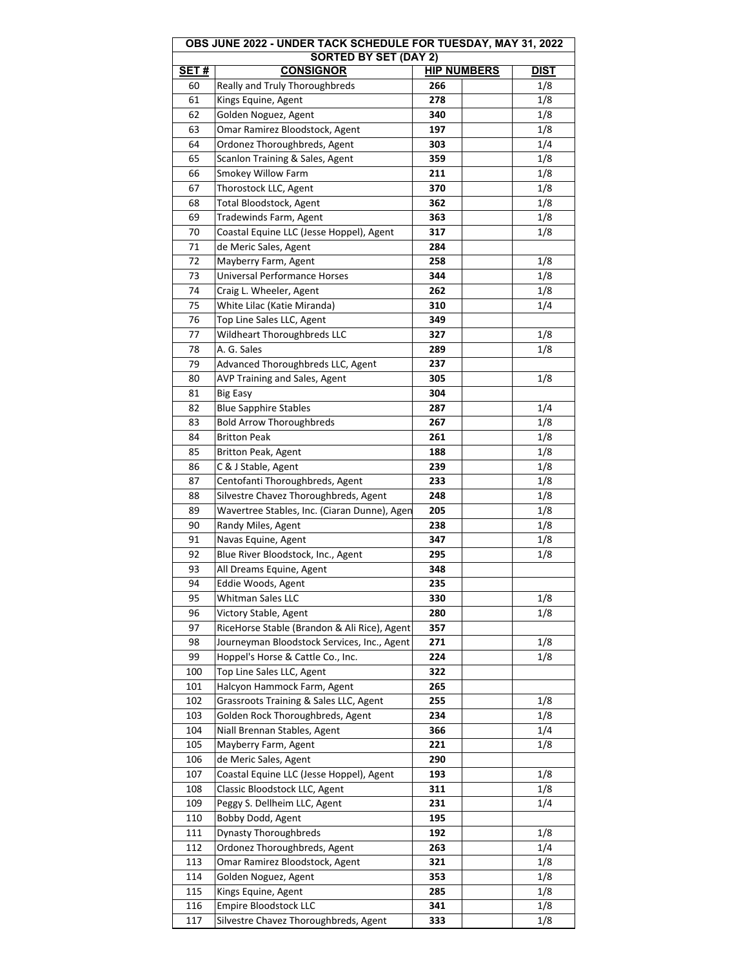|             | OBS JUNE 2022 - UNDER TACK SCHEDULE FOR TUESDAY, MAY 31, 2022 |                    |             |  |  |  |
|-------------|---------------------------------------------------------------|--------------------|-------------|--|--|--|
| <b>SET#</b> | <b>SORTED BY SET (DAY 2)</b><br><b>CONSIGNOR</b>              | <b>HIP NUMBERS</b> | <b>DIST</b> |  |  |  |
| 60          | Really and Truly Thoroughbreds                                | 266                | 1/8         |  |  |  |
| 61          | Kings Equine, Agent                                           | 278                | 1/8         |  |  |  |
| 62          |                                                               | 340                |             |  |  |  |
|             | Golden Noguez, Agent                                          |                    | 1/8         |  |  |  |
| 63          | Omar Ramirez Bloodstock, Agent                                | 197                | 1/8         |  |  |  |
| 64          | Ordonez Thoroughbreds, Agent                                  | 303                | 1/4         |  |  |  |
| 65          | Scanlon Training & Sales, Agent                               | 359                | 1/8         |  |  |  |
| 66          | Smokey Willow Farm                                            | 211                | 1/8         |  |  |  |
| 67          | Thorostock LLC, Agent                                         | 370                | 1/8         |  |  |  |
| 68          | Total Bloodstock, Agent                                       | 362                | 1/8         |  |  |  |
| 69          | Tradewinds Farm, Agent                                        | 363                | 1/8         |  |  |  |
| 70          | Coastal Equine LLC (Jesse Hoppel), Agent                      | 317                | 1/8         |  |  |  |
| 71          | de Meric Sales, Agent                                         | 284                |             |  |  |  |
| 72          | Mayberry Farm, Agent                                          | 258                | 1/8         |  |  |  |
| 73          | Universal Performance Horses                                  | 344                | 1/8         |  |  |  |
| 74          | Craig L. Wheeler, Agent                                       | 262                | 1/8         |  |  |  |
| 75          | White Lilac (Katie Miranda)                                   | 310                | 1/4         |  |  |  |
| 76          | Top Line Sales LLC, Agent                                     | 349                |             |  |  |  |
| 77          | Wildheart Thoroughbreds LLC                                   | 327                | 1/8         |  |  |  |
| 78          | A. G. Sales                                                   | 289                | 1/8         |  |  |  |
| 79          | Advanced Thoroughbreds LLC, Agent                             | 237                |             |  |  |  |
| 80          | AVP Training and Sales, Agent                                 | 305                | 1/8         |  |  |  |
| 81          | <b>Big Easy</b>                                               | 304                |             |  |  |  |
| 82          | <b>Blue Sapphire Stables</b>                                  | 287                | 1/4         |  |  |  |
| 83          | <b>Bold Arrow Thoroughbreds</b>                               | 267                | 1/8         |  |  |  |
| 84          | <b>Britton Peak</b>                                           | 261                | 1/8         |  |  |  |
| 85          | Britton Peak, Agent                                           | 188                | 1/8         |  |  |  |
| 86          | C & J Stable, Agent                                           | 239                | 1/8         |  |  |  |
| 87          | Centofanti Thoroughbreds, Agent                               | 233                | 1/8         |  |  |  |
| 88          | Silvestre Chavez Thoroughbreds, Agent                         | 248                | 1/8         |  |  |  |
| 89          | Wavertree Stables, Inc. (Ciaran Dunne), Agen                  | 205                | 1/8         |  |  |  |
| 90          | Randy Miles, Agent                                            | 238                | 1/8         |  |  |  |
| 91          | Navas Equine, Agent                                           | 347                | 1/8         |  |  |  |
| 92          | Blue River Bloodstock, Inc., Agent                            | 295                | 1/8         |  |  |  |
| 93          | All Dreams Equine, Agent                                      | 348                |             |  |  |  |
| 94          | Eddie Woods, Agent                                            | 235                |             |  |  |  |
| 95          | Whitman Sales LLC                                             | 330                | 1/8         |  |  |  |
| 96          | Victory Stable, Agent                                         | 280                | 1/8         |  |  |  |
| 97          | RiceHorse Stable (Brandon & Ali Rice), Agent                  | 357                |             |  |  |  |
| 98          | Journeyman Bloodstock Services, Inc., Agent                   | 271                | 1/8         |  |  |  |
| 99          | Hoppel's Horse & Cattle Co., Inc.                             | 224                | 1/8         |  |  |  |
| 100         | Top Line Sales LLC, Agent                                     | 322                |             |  |  |  |
| 101         | Halcyon Hammock Farm, Agent                                   | 265                |             |  |  |  |
| 102         | Grassroots Training & Sales LLC, Agent                        | 255                | 1/8         |  |  |  |
| 103         | Golden Rock Thoroughbreds, Agent                              | 234                | 1/8         |  |  |  |
| 104         |                                                               | 366                | 1/4         |  |  |  |
| 105         | Niall Brennan Stables, Agent                                  | 221                |             |  |  |  |
|             | Mayberry Farm, Agent                                          |                    | 1/8         |  |  |  |
| 106         | de Meric Sales, Agent                                         | 290                |             |  |  |  |
| 107         | Coastal Equine LLC (Jesse Hoppel), Agent                      | 193                | 1/8         |  |  |  |
| 108         | Classic Bloodstock LLC, Agent                                 | 311                | 1/8         |  |  |  |
| 109         | Peggy S. Dellheim LLC, Agent                                  | 231                | 1/4         |  |  |  |
| 110         | Bobby Dodd, Agent                                             | 195                |             |  |  |  |
| 111         | <b>Dynasty Thoroughbreds</b>                                  | 192                | 1/8         |  |  |  |
| 112         | Ordonez Thoroughbreds, Agent                                  | 263                | 1/4         |  |  |  |
| 113         | Omar Ramirez Bloodstock, Agent                                | 321                | 1/8         |  |  |  |
| 114         | Golden Noguez, Agent                                          | 353                | 1/8         |  |  |  |
| 115         | Kings Equine, Agent                                           | 285                | 1/8         |  |  |  |
| 116         | Empire Bloodstock LLC                                         | 341                | 1/8         |  |  |  |
| 117         | Silvestre Chavez Thoroughbreds, Agent                         | 333                | 1/8         |  |  |  |